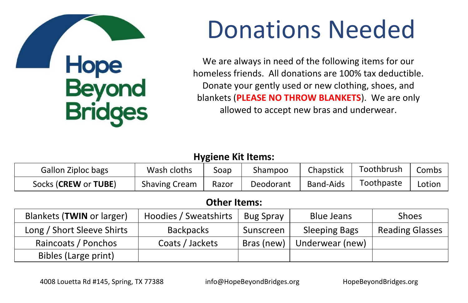

# Donations Needed

We are always in need of the following items for our homeless friends. All donations are 100% tax deductible. Donate your gently used or new clothing, shoes, and blankets (**PLEASE NO THROW BLANKETS**). We are only allowed to accept new bras and underwear.

#### **Hygiene Kit Items:**

| Gallon Ziploc bags   | Wash cloths          | Soap  | Shampoo   | Chapstick        | Toothbrush | Combs  |
|----------------------|----------------------|-------|-----------|------------------|------------|--------|
| Socks (CREW or TUBE) | <b>Shaving Cream</b> | Razor | Deodorant | <b>Band-Aids</b> | Toothpaste | Lotion |

#### **Other Items:**

| Blankets (TWIN or larger)  | Hoodies / Sweatshirts | <b>Bug Spray</b> | <b>Blue Jeans</b>    | Shoes                  |
|----------------------------|-----------------------|------------------|----------------------|------------------------|
| Long / Short Sleeve Shirts | <b>Backpacks</b>      | Sunscreen        | <b>Sleeping Bags</b> | <b>Reading Glasses</b> |
| Raincoats / Ponchos        | Coats / Jackets       | Bras (new)       | Underwear (new)      |                        |
| Bibles (Large print)       |                       |                  |                      |                        |